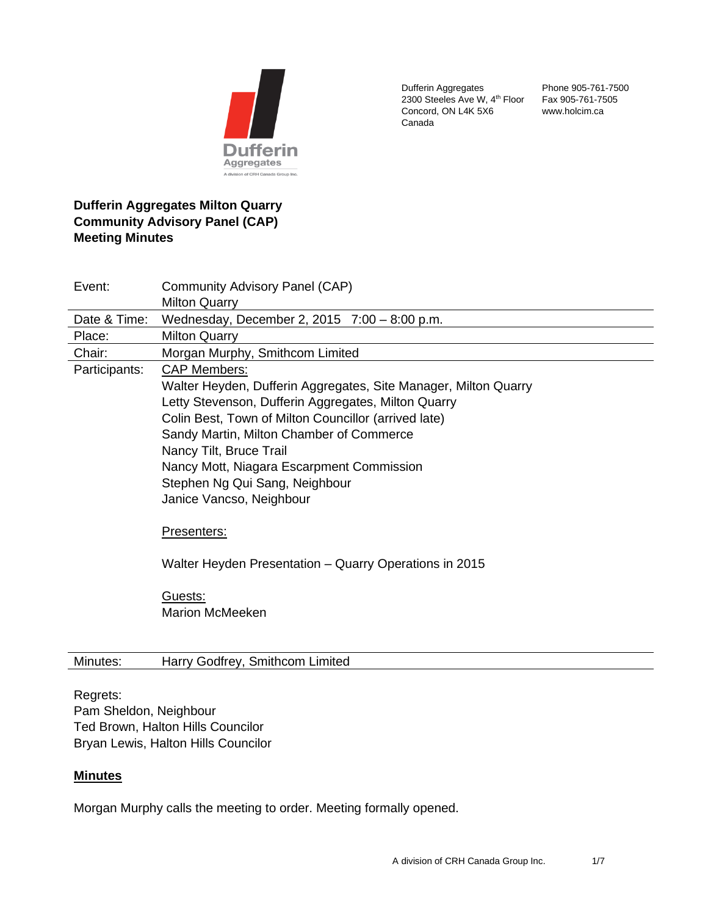

Dufferin Aggregates 2300 Steeles Ave W, 4<sup>th</sup> Floor Concord, ON L4K 5X6 Canada

Phone 905-761-7500 Fax 905-761-7505 www.holcim.ca

# **Dufferin Aggregates Milton Quarry Community Advisory Panel (CAP) Meeting Minutes**

| Event:        | Community Advisory Panel (CAP)                                  |
|---------------|-----------------------------------------------------------------|
|               | <b>Milton Quarry</b>                                            |
| Date & Time:  | Wednesday, December 2, 2015 7:00 - 8:00 p.m.                    |
| Place:        | <b>Milton Quarry</b>                                            |
| Chair:        | Morgan Murphy, Smithcom Limited                                 |
| Participants: | <b>CAP Members:</b>                                             |
|               | Walter Heyden, Dufferin Aggregates, Site Manager, Milton Quarry |
|               | Letty Stevenson, Dufferin Aggregates, Milton Quarry             |
|               | Colin Best, Town of Milton Councillor (arrived late)            |
|               | Sandy Martin, Milton Chamber of Commerce                        |
|               | Nancy Tilt, Bruce Trail                                         |
|               | Nancy Mott, Niagara Escarpment Commission                       |
|               | Stephen Ng Qui Sang, Neighbour                                  |
|               | Janice Vancso, Neighbour                                        |
|               |                                                                 |
|               | Presenters:                                                     |
|               |                                                                 |
|               | Walter Heyden Presentation - Quarry Operations in 2015          |
|               |                                                                 |
|               | Guests:                                                         |
|               | <b>Marion McMeeken</b>                                          |
|               |                                                                 |
|               |                                                                 |

# Minutes: Harry Godfrey, Smithcom Limited

#### Regrets:

Pam Sheldon, Neighbour Ted Brown, Halton Hills Councilor Bryan Lewis, Halton Hills Councilor

### **Minutes**

Morgan Murphy calls the meeting to order. Meeting formally opened.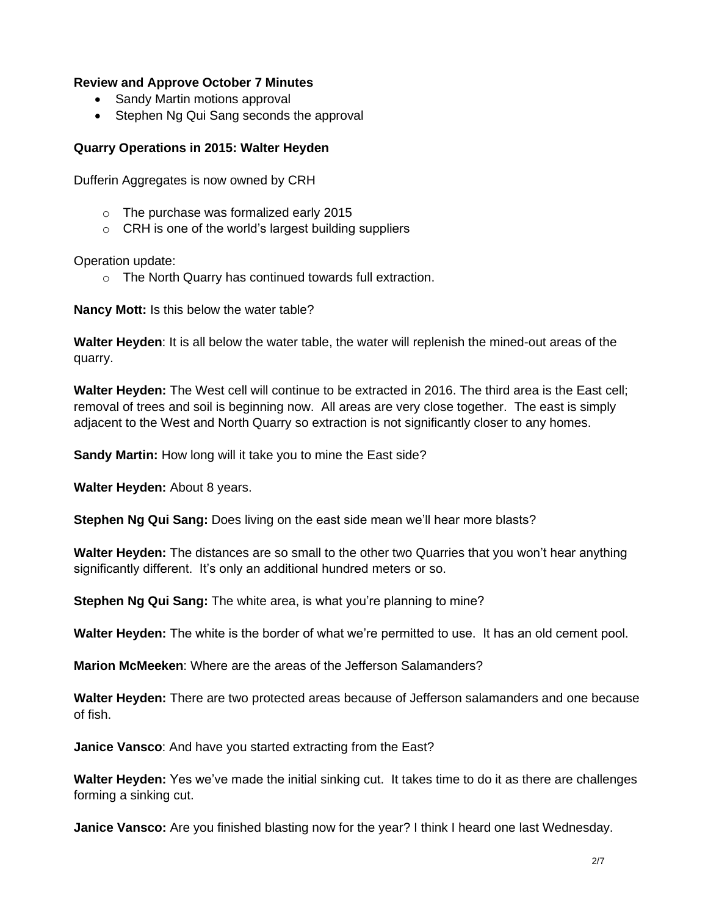### **Review and Approve October 7 Minutes**

- Sandy Martin motions approval
- Stephen Ng Qui Sang seconds the approval

### **Quarry Operations in 2015: Walter Heyden**

Dufferin Aggregates is now owned by CRH

- o The purchase was formalized early 2015
- o CRH is one of the world's largest building suppliers

Operation update:

o The North Quarry has continued towards full extraction.

**Nancy Mott:** Is this below the water table?

**Walter Heyden**: It is all below the water table, the water will replenish the mined-out areas of the quarry.

**Walter Heyden:** The West cell will continue to be extracted in 2016. The third area is the East cell; removal of trees and soil is beginning now. All areas are very close together. The east is simply adjacent to the West and North Quarry so extraction is not significantly closer to any homes.

**Sandy Martin:** How long will it take you to mine the East side?

**Walter Heyden:** About 8 years.

**Stephen Ng Qui Sang:** Does living on the east side mean we'll hear more blasts?

**Walter Heyden:** The distances are so small to the other two Quarries that you won't hear anything significantly different. It's only an additional hundred meters or so.

**Stephen Ng Qui Sang:** The white area, is what you're planning to mine?

**Walter Heyden:** The white is the border of what we're permitted to use. It has an old cement pool.

**Marion McMeeken**: Where are the areas of the Jefferson Salamanders?

**Walter Heyden:** There are two protected areas because of Jefferson salamanders and one because of fish.

**Janice Vansco**: And have you started extracting from the East?

**Walter Heyden:** Yes we've made the initial sinking cut. It takes time to do it as there are challenges forming a sinking cut.

**Janice Vansco:** Are you finished blasting now for the year? I think I heard one last Wednesday.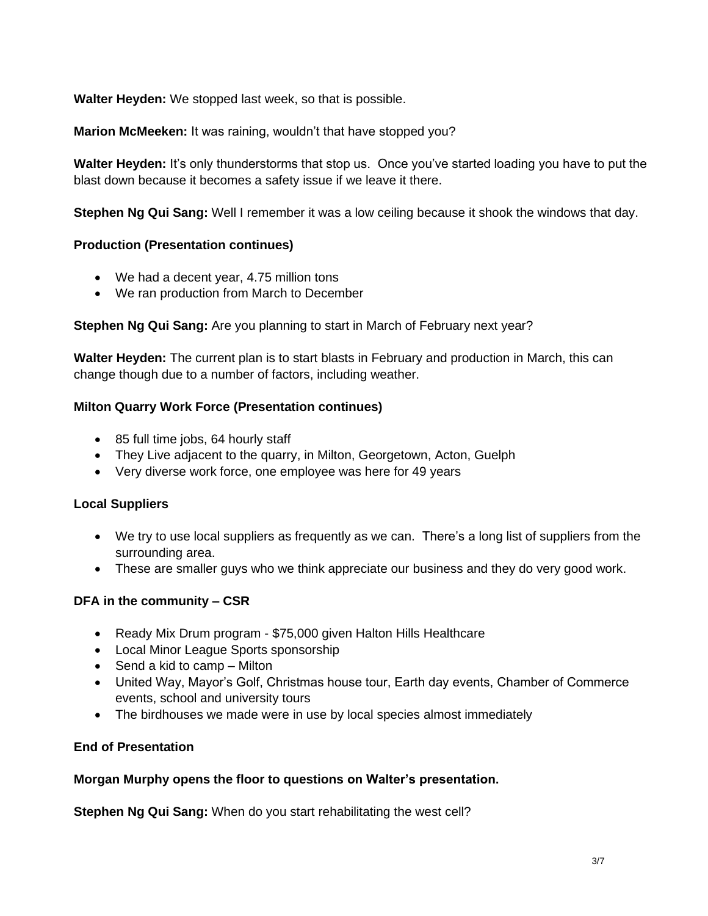**Walter Heyden:** We stopped last week, so that is possible.

**Marion McMeeken:** It was raining, wouldn't that have stopped you?

**Walter Heyden:** It's only thunderstorms that stop us. Once you've started loading you have to put the blast down because it becomes a safety issue if we leave it there.

**Stephen Ng Qui Sang:** Well I remember it was a low ceiling because it shook the windows that day.

### **Production (Presentation continues)**

- We had a decent year, 4.75 million tons
- We ran production from March to December

### **Stephen Ng Qui Sang:** Are you planning to start in March of February next year?

**Walter Heyden:** The current plan is to start blasts in February and production in March, this can change though due to a number of factors, including weather.

### **Milton Quarry Work Force (Presentation continues)**

- 85 full time jobs, 64 hourly staff
- They Live adjacent to the quarry, in Milton, Georgetown, Acton, Guelph
- Very diverse work force, one employee was here for 49 years

### **Local Suppliers**

- We try to use local suppliers as frequently as we can. There's a long list of suppliers from the surrounding area.
- These are smaller guys who we think appreciate our business and they do very good work.

# **DFA in the community – CSR**

- Ready Mix Drum program \$75,000 given Halton Hills Healthcare
- Local Minor League Sports sponsorship
- Send a kid to camp Milton
- United Way, Mayor's Golf, Christmas house tour, Earth day events, Chamber of Commerce events, school and university tours
- The birdhouses we made were in use by local species almost immediately

# **End of Presentation**

### **Morgan Murphy opens the floor to questions on Walter's presentation.**

**Stephen Ng Qui Sang:** When do you start rehabilitating the west cell?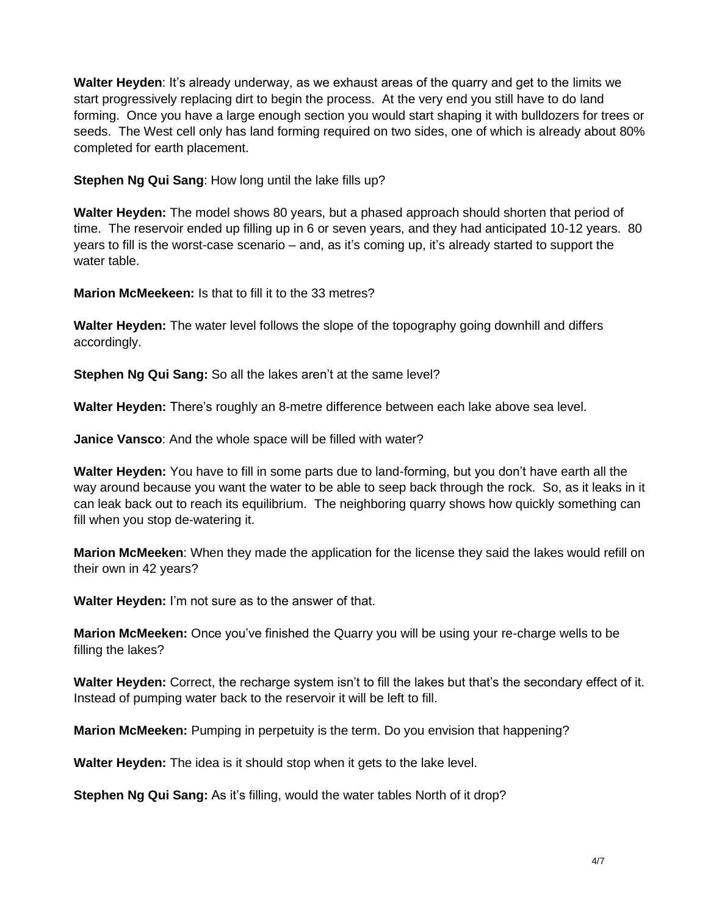**Walter Heyden**: It's already underway, as we exhaust areas of the quarry and get to the limits we start progressively replacing dirt to begin the process. At the very end you still have to do land forming. Once you have a large enough section you would start shaping it with bulldozers for trees or seeds. The West cell only has land forming required on two sides, one of which is already about 80% completed for earth placement.

**Stephen Ng Qui Sang**: How long until the lake fills up?

**Walter Heyden:** The model shows 80 years, but a phased approach should shorten that period of time. The reservoir ended up filling up in 6 or seven years, and they had anticipated 10-12 years. 80 years to fill is the worst-case scenario – and, as it's coming up, it's already started to support the water table.

**Marion McMeekeen:** Is that to fill it to the 33 metres?

**Walter Heyden:** The water level follows the slope of the topography going downhill and differs accordingly.

**Stephen Ng Qui Sang:** So all the lakes aren't at the same level?

**Walter Heyden:** There's roughly an 8-metre difference between each lake above sea level.

**Janice Vansco**: And the whole space will be filled with water?

**Walter Heyden:** You have to fill in some parts due to land-forming, but you don't have earth all the way around because you want the water to be able to seep back through the rock. So, as it leaks in it can leak back out to reach its equilibrium. The neighboring quarry shows how quickly something can fill when you stop de-watering it.

**Marion McMeeken**: When they made the application for the license they said the lakes would refill on their own in 42 years?

**Walter Heyden:** I'm not sure as to the answer of that.

**Marion McMeeken:** Once you've finished the Quarry you will be using your re-charge wells to be filling the lakes?

**Walter Heyden:** Correct, the recharge system isn't to fill the lakes but that's the secondary effect of it. Instead of pumping water back to the reservoir it will be left to fill.

**Marion McMeeken:** Pumping in perpetuity is the term. Do you envision that happening?

**Walter Heyden:** The idea is it should stop when it gets to the lake level.

**Stephen Ng Qui Sang:** As it's filling, would the water tables North of it drop?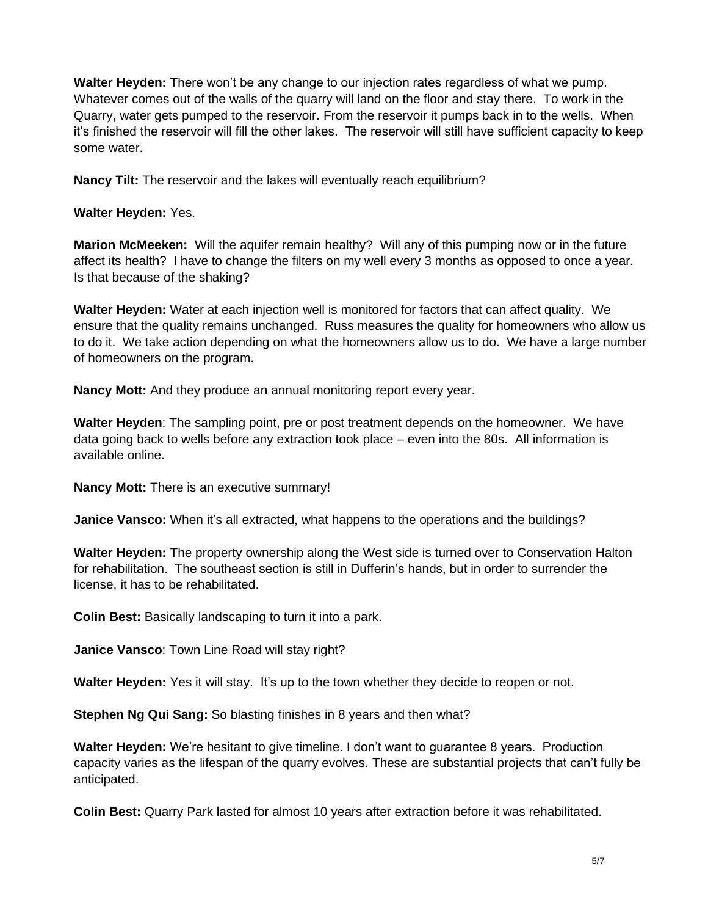**Walter Heyden:** There won't be any change to our injection rates regardless of what we pump. Whatever comes out of the walls of the quarry will land on the floor and stay there. To work in the Quarry, water gets pumped to the reservoir. From the reservoir it pumps back in to the wells. When it's finished the reservoir will fill the other lakes. The reservoir will still have sufficient capacity to keep some water.

**Nancy Tilt:** The reservoir and the lakes will eventually reach equilibrium?

**Walter Heyden:** Yes.

**Marion McMeeken:** Will the aquifer remain healthy? Will any of this pumping now or in the future affect its health? I have to change the filters on my well every 3 months as opposed to once a year. Is that because of the shaking?

**Walter Heyden:** Water at each injection well is monitored for factors that can affect quality. We ensure that the quality remains unchanged. Russ measures the quality for homeowners who allow us to do it. We take action depending on what the homeowners allow us to do. We have a large number of homeowners on the program.

**Nancy Mott:** And they produce an annual monitoring report every year.

**Walter Heyden**: The sampling point, pre or post treatment depends on the homeowner. We have data going back to wells before any extraction took place – even into the 80s. All information is available online.

**Nancy Mott:** There is an executive summary!

**Janice Vansco:** When it's all extracted, what happens to the operations and the buildings?

**Walter Heyden:** The property ownership along the West side is turned over to Conservation Halton for rehabilitation. The southeast section is still in Dufferin's hands, but in order to surrender the license, it has to be rehabilitated.

**Colin Best:** Basically landscaping to turn it into a park.

**Janice Vansco**: Town Line Road will stay right?

**Walter Heyden:** Yes it will stay. It's up to the town whether they decide to reopen or not.

**Stephen Ng Qui Sang:** So blasting finishes in 8 years and then what?

**Walter Heyden:** We're hesitant to give timeline. I don't want to guarantee 8 years. Production capacity varies as the lifespan of the quarry evolves. These are substantial projects that can't fully be anticipated.

**Colin Best:** Quarry Park lasted for almost 10 years after extraction before it was rehabilitated.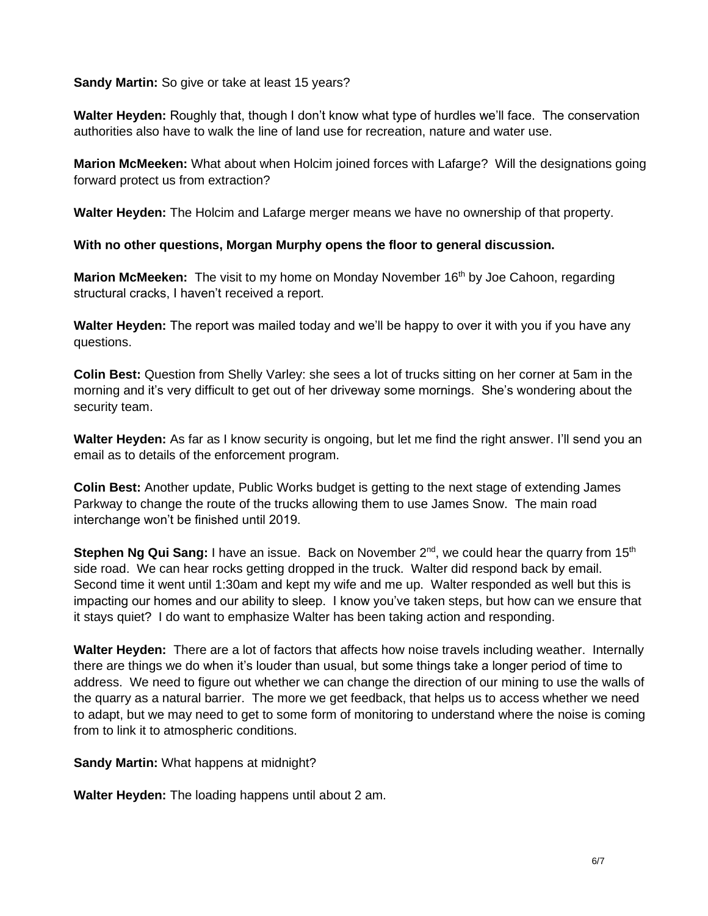**Sandy Martin:** So give or take at least 15 years?

**Walter Heyden:** Roughly that, though I don't know what type of hurdles we'll face. The conservation authorities also have to walk the line of land use for recreation, nature and water use.

**Marion McMeeken:** What about when Holcim joined forces with Lafarge? Will the designations going forward protect us from extraction?

**Walter Heyden:** The Holcim and Lafarge merger means we have no ownership of that property.

**With no other questions, Morgan Murphy opens the floor to general discussion.**

**Marion McMeeken:** The visit to my home on Monday November 16<sup>th</sup> by Joe Cahoon, regarding structural cracks, I haven't received a report.

**Walter Heyden:** The report was mailed today and we'll be happy to over it with you if you have any questions.

**Colin Best:** Question from Shelly Varley: she sees a lot of trucks sitting on her corner at 5am in the morning and it's very difficult to get out of her driveway some mornings. She's wondering about the security team.

**Walter Heyden:** As far as I know security is ongoing, but let me find the right answer. I'll send you an email as to details of the enforcement program.

**Colin Best:** Another update, Public Works budget is getting to the next stage of extending James Parkway to change the route of the trucks allowing them to use James Snow. The main road interchange won't be finished until 2019.

**Stephen Ng Qui Sang:** I have an issue. Back on November 2<sup>nd</sup>, we could hear the quarry from 15<sup>th</sup> side road. We can hear rocks getting dropped in the truck. Walter did respond back by email. Second time it went until 1:30am and kept my wife and me up. Walter responded as well but this is impacting our homes and our ability to sleep. I know you've taken steps, but how can we ensure that it stays quiet? I do want to emphasize Walter has been taking action and responding.

**Walter Heyden:** There are a lot of factors that affects how noise travels including weather. Internally there are things we do when it's louder than usual, but some things take a longer period of time to address. We need to figure out whether we can change the direction of our mining to use the walls of the quarry as a natural barrier. The more we get feedback, that helps us to access whether we need to adapt, but we may need to get to some form of monitoring to understand where the noise is coming from to link it to atmospheric conditions.

**Sandy Martin:** What happens at midnight?

**Walter Heyden:** The loading happens until about 2 am.